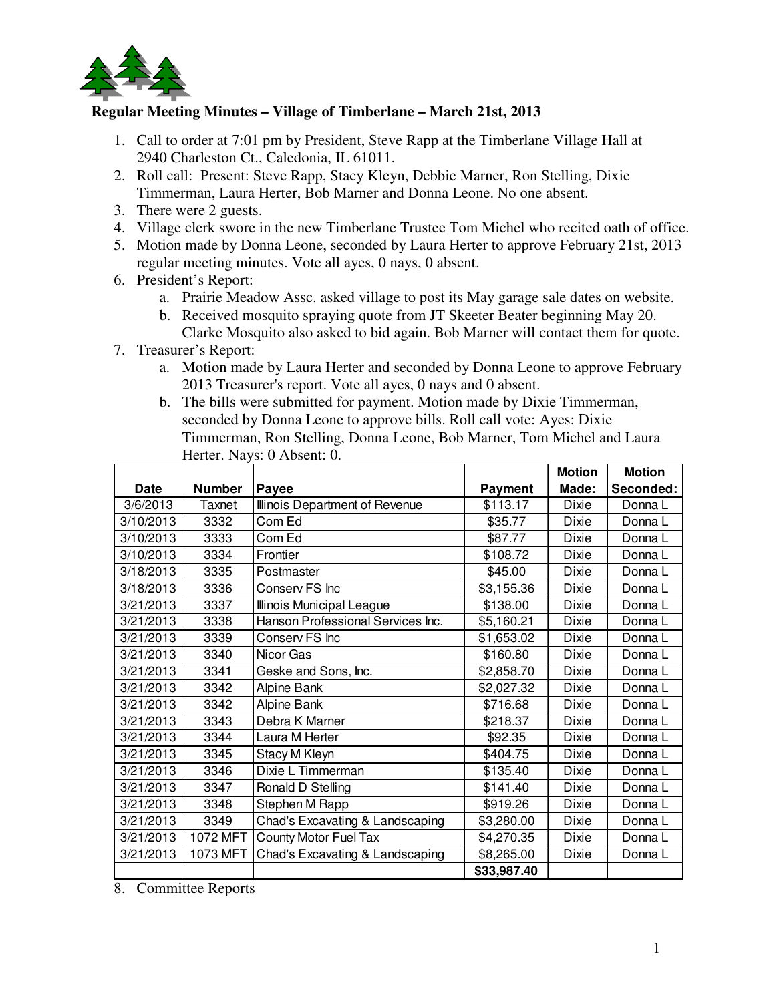

## **Regular Meeting Minutes – Village of Timberlane – March 21st, 2013**

- 1. Call to order at 7:01 pm by President, Steve Rapp at the Timberlane Village Hall at 2940 Charleston Ct., Caledonia, IL 61011.
- 2. Roll call: Present: Steve Rapp, Stacy Kleyn, Debbie Marner, Ron Stelling, Dixie Timmerman, Laura Herter, Bob Marner and Donna Leone. No one absent.
- 3. There were 2 guests.
- 4. Village clerk swore in the new Timberlane Trustee Tom Michel who recited oath of office.
- 5. Motion made by Donna Leone, seconded by Laura Herter to approve February 21st, 2013 regular meeting minutes. Vote all ayes, 0 nays, 0 absent.
- 6. President's Report:
	- a. Prairie Meadow Assc. asked village to post its May garage sale dates on website.
	- b. Received mosquito spraying quote from JT Skeeter Beater beginning May 20. Clarke Mosquito also asked to bid again. Bob Marner will contact them for quote.
- 7. Treasurer's Report:
	- a. Motion made by Laura Herter and seconded by Donna Leone to approve February 2013 Treasurer's report. Vote all ayes, 0 nays and 0 absent.
	- b. The bills were submitted for payment. Motion made by Dixie Timmerman, seconded by Donna Leone to approve bills. Roll call vote: Ayes: Dixie Timmerman, Ron Stelling, Donna Leone, Bob Marner, Tom Michel and Laura Herter. Nays: 0 Absent: 0.

|             |               |                                   |                | <b>Motion</b> | <b>Motion</b> |
|-------------|---------------|-----------------------------------|----------------|---------------|---------------|
| <b>Date</b> | <b>Number</b> | Payee                             | <b>Payment</b> | Made:         | Seconded:     |
| 3/6/2013    | Taxnet        | Illinois Department of Revenue    | \$113.17       | Dixie         | Donna L       |
| 3/10/2013   | 3332          | Com Ed                            | \$35.77        | Dixie         | Donna L       |
| 3/10/2013   | 3333          | Com Ed                            | \$87.77        | <b>Dixie</b>  | Donna L       |
| 3/10/2013   | 3334          | Frontier                          | \$108.72       | Dixie         | Donna L       |
| 3/18/2013   | 3335          | Postmaster                        | \$45.00        | Dixie         | Donna L       |
| 3/18/2013   | 3336          | Conserv FS Inc                    | \$3,155.36     | Dixie         | Donna L       |
| 3/21/2013   | 3337          | Illinois Municipal League         | \$138.00       | Dixie         | Donna L       |
| 3/21/2013   | 3338          | Hanson Professional Services Inc. | \$5,160.21     | Dixie         | Donna L       |
| 3/21/2013   | 3339          | Conserv FS Inc                    | \$1,653.02     | <b>Dixie</b>  | Donna L       |
| 3/21/2013   | 3340          | Nicor Gas                         | \$160.80       | Dixie         | Donna L       |
| 3/21/2013   | 3341          | Geske and Sons, Inc.              | \$2,858.70     | Dixie         | Donna L       |
| 3/21/2013   | 3342          | Alpine Bank                       | \$2,027.32     | Dixie         | Donna L       |
| 3/21/2013   | 3342          | Alpine Bank                       | \$716.68       | Dixie         | Donna L       |
| 3/21/2013   | 3343          | Debra K Marner                    | \$218.37       | Dixie         | Donna L       |
| 3/21/2013   | 3344          | Laura M Herter                    | \$92.35        | <b>Dixie</b>  | Donna L       |
| 3/21/2013   | 3345          | Stacy M Kleyn                     | \$404.75       | <b>Dixie</b>  | Donna L       |
| 3/21/2013   | 3346          | Dixie L Timmerman                 | \$135.40       | <b>Dixie</b>  | Donna L       |
| 3/21/2013   | 3347          | Ronald D Stelling                 | \$141.40       | <b>Dixie</b>  | Donna L       |
| 3/21/2013   | 3348          | Stephen M Rapp                    | \$919.26       | Dixie         | Donna L       |
| 3/21/2013   | 3349          | Chad's Excavating & Landscaping   | \$3,280.00     | <b>Dixie</b>  | Donna L       |
| 3/21/2013   | 1072 MFT      | County Motor Fuel Tax             | \$4,270.35     | <b>Dixie</b>  | Donna L       |
| 3/21/2013   | 1073 MFT      | Chad's Excavating & Landscaping   | \$8,265.00     | <b>Dixie</b>  | Donna L       |
|             |               |                                   | \$33,987.40    |               |               |

8. Committee Reports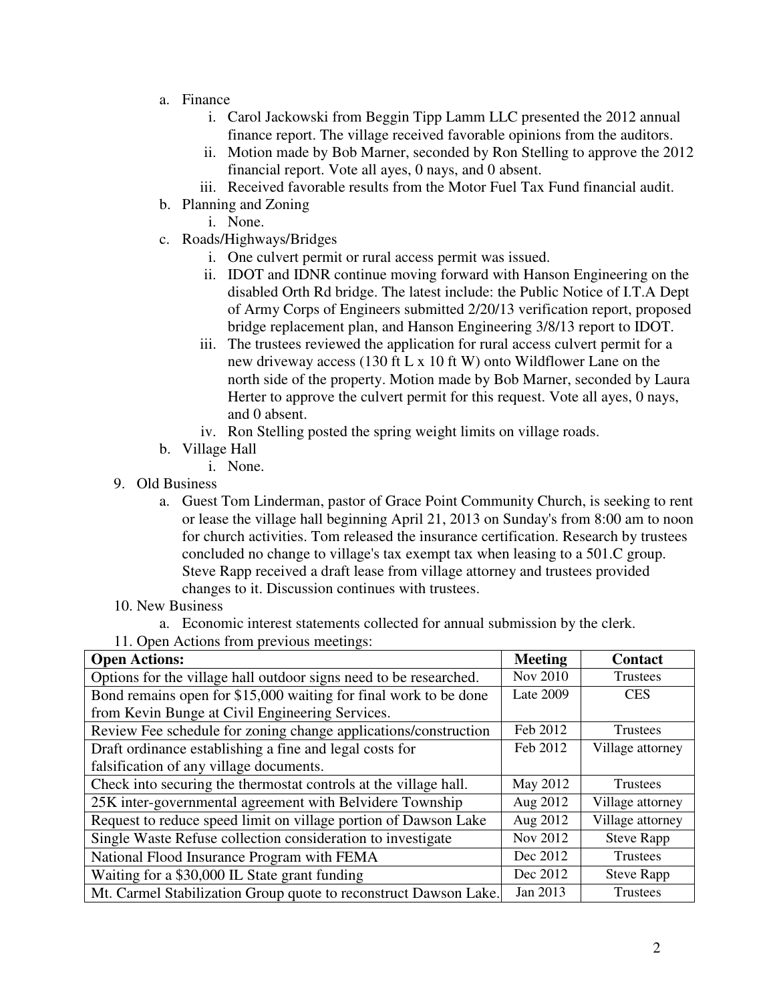- a. Finance
	- i. Carol Jackowski from Beggin Tipp Lamm LLC presented the 2012 annual finance report. The village received favorable opinions from the auditors.
	- ii. Motion made by Bob Marner, seconded by Ron Stelling to approve the 2012 financial report. Vote all ayes, 0 nays, and 0 absent.
	- iii. Received favorable results from the Motor Fuel Tax Fund financial audit.
- b. Planning and Zoning
	- i. None.
- c. Roads/Highways/Bridges
	- i. One culvert permit or rural access permit was issued.
	- ii. IDOT and IDNR continue moving forward with Hanson Engineering on the disabled Orth Rd bridge. The latest include: the Public Notice of I.T.A Dept of Army Corps of Engineers submitted 2/20/13 verification report, proposed bridge replacement plan, and Hanson Engineering 3/8/13 report to IDOT.
	- iii. The trustees reviewed the application for rural access culvert permit for a new driveway access (130 ft L x 10 ft W) onto Wildflower Lane on the north side of the property. Motion made by Bob Marner, seconded by Laura Herter to approve the culvert permit for this request. Vote all ayes, 0 nays, and 0 absent.
	- iv. Ron Stelling posted the spring weight limits on village roads.
- b. Village Hall
	- i. None.
- 9. Old Business
	- a. Guest Tom Linderman, pastor of Grace Point Community Church, is seeking to rent or lease the village hall beginning April 21, 2013 on Sunday's from 8:00 am to noon for church activities. Tom released the insurance certification. Research by trustees concluded no change to village's tax exempt tax when leasing to a 501.C group. Steve Rapp received a draft lease from village attorney and trustees provided changes to it. Discussion continues with trustees.
- 10. New Business
	- a. Economic interest statements collected for annual submission by the clerk.
- 11. Open Actions from previous meetings:

| <b>Open Actions:</b>                                              | <b>Meeting</b> | <b>Contact</b>    |
|-------------------------------------------------------------------|----------------|-------------------|
| Options for the village hall outdoor signs need to be researched. | Nov 2010       | Trustees          |
| Bond remains open for \$15,000 waiting for final work to be done  | Late 2009      | <b>CES</b>        |
| from Kevin Bunge at Civil Engineering Services.                   |                |                   |
| Review Fee schedule for zoning change applications/construction   | Feb 2012       | Trustees          |
| Draft ordinance establishing a fine and legal costs for           | Feb 2012       | Village attorney  |
| falsification of any village documents.                           |                |                   |
| Check into securing the thermostat controls at the village hall.  | May 2012       | <b>Trustees</b>   |
| 25K inter-governmental agreement with Belvidere Township          | Aug 2012       | Village attorney  |
| Request to reduce speed limit on village portion of Dawson Lake   | Aug 2012       | Village attorney  |
| Single Waste Refuse collection consideration to investigate       | Nov 2012       | <b>Steve Rapp</b> |
| National Flood Insurance Program with FEMA                        | Dec 2012       | Trustees          |
| Waiting for a \$30,000 IL State grant funding                     | Dec 2012       | <b>Steve Rapp</b> |
| Mt. Carmel Stabilization Group quote to reconstruct Dawson Lake.  | Jan 2013       | Trustees          |